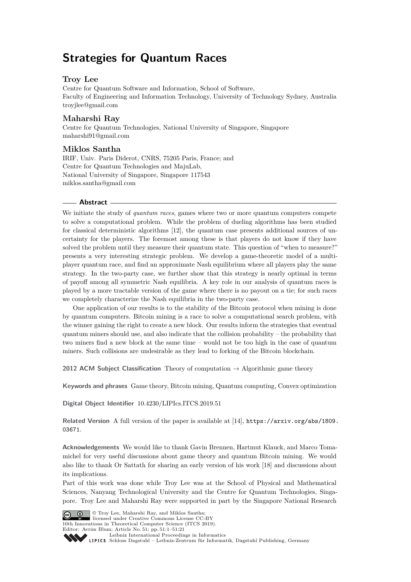# **Strategies for Quantum Races**

# **Troy Lee**

Centre for Quantum Software and Information, School of Software, Faculty of Engineering and Information Technology, University of Technology Sydney, Australia [troyjlee@gmail.com](mailto:troyjlee@gmail.com)

# **Maharshi Ray**

Centre for Quantum Technologies, National University of Singapore, Singapore [maharshi91@gmail.com](mailto:maharshi91@gmail.com)

# **Miklos Santha**

IRIF, Univ. Paris Diderot, CNRS, 75205 Paris, France; and Centre for Quantum Technologies and MajuLab, National University of Singapore, Singapore 117543 [miklos.santha@gmail.com](mailto:miklos.santha@gmail.com)

### **Abstract**

We initiate the study of *quantum races*, games where two or more quantum computers compete to solve a computational problem. While the problem of dueling algorithms has been studied for classical deterministic algorithms [\[12\]](#page-20-0), the quantum case presents additional sources of uncertainty for the players. The foremost among these is that players do not know if they have solved the problem until they measure their quantum state. This question of "when to measure?" presents a very interesting strategic problem. We develop a game-theoretic model of a multiplayer quantum race, and find an approximate Nash equilibrium where all players play the same strategy. In the two-party case, we further show that this strategy is nearly optimal in terms of payoff among all symmetric Nash equilibria. A key role in our analysis of quantum races is played by a more tractable version of the game where there is no payout on a tie; for such races we completely characterize the Nash equilibria in the two-party case.

One application of our results is to the stability of the Bitcoin protocol when mining is done by quantum computers. Bitcoin mining is a race to solve a computational search problem, with the winner gaining the right to create a new block. Our results inform the strategies that eventual quantum miners should use, and also indicate that the collision probability – the probability that two miners find a new block at the same time – would not be too high in the case of quantum miners. Such collisions are undesirable as they lead to forking of the Bitcoin blockchain.

**2012 ACM Subject Classification** Theory of computation  $\rightarrow$  Algorithmic game theory

**Keywords and phrases** Game theory, Bitcoin mining, Quantum computing, Convex optimization

**Digital Object Identifier** [10.4230/LIPIcs.ITCS.2019.51](https://doi.org/10.4230/LIPIcs.ITCS.2019.51)

**Related Version** A full version of the paper is available at [\[14\]](#page-20-1), [https://arxiv.org/abs/1809.](https://arxiv.org/abs/1809.03671) [03671](https://arxiv.org/abs/1809.03671).

**Acknowledgements** We would like to thank Gavin Brennen, Hartmut Klauck, and Marco Tomamichel for very useful discussions about game theory and quantum Bitcoin mining. We would also like to thank Or Sattath for sharing an early version of his work [\[18\]](#page-20-2) and discussions about its implications.

Part of this work was done while Troy Lee was at the School of Physical and Mathematical Sciences, Nanyang Technological University and the Centre for Quantum Technologies, Singapore. Troy Lee and Maharshi Ray were supported in part by the Singapore National Research





10th Innovations in Theoretical Computer Science (ITCS 2019).



[Leibniz International Proceedings in Informatics](http://www.dagstuhl.de/lipics/)

[Schloss Dagstuhl – Leibniz-Zentrum für Informatik, Dagstuhl Publishing, Germany](http://www.dagstuhl.de)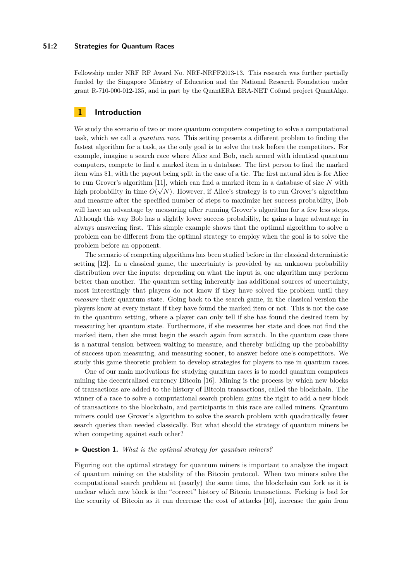### **51:2 Strategies for Quantum Races**

Fellowship under NRF RF Award No. NRF-NRFF2013-13. This research was further partially funded by the Singapore Ministry of Education and the National Research Foundation under grant R-710-000-012-135, and in part by the QuantERA ERA-NET Cofund project QuantAlgo.

# **1 Introduction**

We study the scenario of two or more quantum computers competing to solve a computational task, which we call a *quantum race*. This setting presents a different problem to finding the fastest algorithm for a task, as the only goal is to solve the task before the competitors. For example, imagine a search race where Alice and Bob, each armed with identical quantum computers, compete to find a marked item in a database. The first person to find the marked item wins \$1, with the payout being split in the case of a tie. The first natural idea is for Alice to run Grover's algorithm [\[11\]](#page-20-4), which can find a marked item in a database of size *N* with high probability in time  $O(\sqrt{N})$ . However, if Alice's strategy is to run Grover's algorithm and measure after the specified number of steps to maximize her success probability, Bob will have an advantage by measuring after running Grover's algorithm for a few less steps. Although this way Bob has a slightly lower success probability, he gains a huge advantage in always answering first. This simple example shows that the optimal algorithm to solve a problem can be different from the optimal strategy to employ when the goal is to solve the problem before an opponent.

The scenario of competing algorithms has been studied before in the classical deterministic setting [\[12\]](#page-20-0). In a classical game, the uncertainty is provided by an unknown probability distribution over the inputs: depending on what the input is, one algorithm may perform better than another. The quantum setting inherently has additional sources of uncertainty, most interestingly that players do not know if they have solved the problem until they *measure* their quantum state. Going back to the search game, in the classical version the players know at every instant if they have found the marked item or not. This is not the case in the quantum setting, where a player can only tell if she has found the desired item by measuring her quantum state. Furthermore, if she measures her state and does not find the marked item, then she must begin the search again from scratch. In the quantum case there is a natural tension between waiting to measure, and thereby building up the probability of success upon measuring, and measuring sooner, to answer before one's competitors. We study this game theoretic problem to develop strategies for players to use in quantum races.

One of our main motivations for studying quantum races is to model quantum computers mining the decentralized currency Bitcoin [\[16\]](#page-20-5). Mining is the process by which new blocks of transactions are added to the history of Bitcoin transactions, called the blockchain. The winner of a race to solve a computational search problem gains the right to add a new block of transactions to the blockchain, and participants in this race are called miners. Quantum miners could use Grover's algorithm to solve the search problem with quadratically fewer search queries than needed classically. But what should the strategy of quantum miners be when competing against each other?

### <span id="page-1-0"></span>I **Question 1.** *What is the optimal strategy for quantum miners?*

Figuring out the optimal strategy for quantum miners is important to analyze the impact of quantum mining on the stability of the Bitcoin protocol. When two miners solve the computational search problem at (nearly) the same time, the blockchain can fork as it is unclear which new block is the "correct" history of Bitcoin transactions. Forking is bad for the security of Bitcoin as it can decrease the cost of attacks [\[10\]](#page-20-6), increase the gain from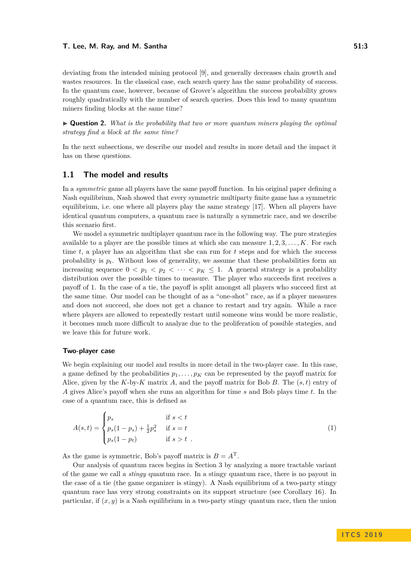#### **T. Lee, M. Ray, and M. Santha 51:3**

deviating from the intended mining protocol [\[9\]](#page-20-7), and generally decreases chain growth and wastes resources. In the classical case, each search query has the same probability of success. In the quantum case, however, because of Grover's algorithm the success probability grows roughly quadratically with the number of search queries. Does this lead to many quantum miners finding blocks at the same time?

<span id="page-2-1"></span>I **Question 2.** *What is the probability that two or more quantum miners playing the optimal strategy find a block at the same time?*

In the next subsections, we describe our model and results in more detail and the impact it has on these questions.

### **1.1 The model and results**

In a *symmetric* game all players have the same payoff function. In his original paper defining a Nash equilibrium, Nash showed that every symmetric multiparty finite game has a symmetric equilibrium, i.e. one where all players play the same strategy [\[17\]](#page-20-8). When all players have identical quantum computers, a quantum race is naturally a symmetric race, and we describe this scenario first.

We model a symmetric multiplayer quantum race in the following way. The pure strategies available to a player are the possible times at which she can measure 1*,* 2*,* 3*, . . . , K*. For each time *t*, a player has an algorithm that she can run for *t* steps and for which the success probability is  $p_t$ . Without loss of generality, we assume that these probabilities form an increasing sequence  $0 < p_1 < p_2 < \cdots < p_K \le 1$ . A general strategy is a probability distribution over the possible times to measure. The player who succeeds first receives a payoff of 1. In the case of a tie, the payoff is split amongst all players who succeed first at the same time. Our model can be thought of as a "one-shot" race, as if a player measures and does not succeed, she does not get a chance to restart and try again. While a race where players are allowed to repeatedly restart until someone wins would be more realistic, it becomes much more difficult to analyze due to the proliferation of possible stategies, and we leave this for future work.

### **Two-player case**

We begin explaining our model and results in more detail in the two-player case. In this case, a game defined by the probabilities  $p_1, \ldots, p_K$  can be represented by the payoff matrix for Alice, given by the *K*-by-*K* matrix *A*, and the payoff matrix for Bob *B*. The (*s, t*) entry of *A* gives Alice's payoff when she runs an algorithm for time *s* and Bob plays time *t*. In the case of a quantum race, this is defined as

<span id="page-2-0"></span>
$$
A(s,t) = \begin{cases} p_s & \text{if } s < t \\ p_s(1-p_s) + \frac{1}{2}p_s^2 & \text{if } s = t \\ p_s(1-p_t) & \text{if } s > t \end{cases} \tag{1}
$$

As the game is symmetric, Bob's payoff matrix is  $B = A<sup>T</sup>$ .

Our analysis of quantum races begins in [Section 3](#page-8-0) by analyzing a more tractable variant of the game we call a *stingy* quantum race. In a stingy quantum race, there is no payout in the case of a tie (the game organizer is stingy). A Nash equilibrium of a two-party stingy quantum race has very strong constraints on its support structure (see Corollary [16\)](#page-8-1). In particular, if  $(x, y)$  is a Nash equilibrium in a two-party stingy quantum race, then the union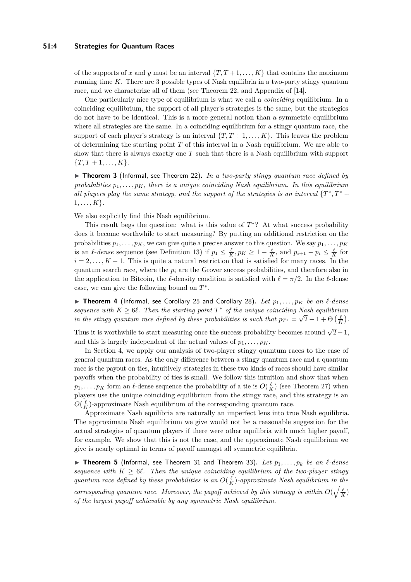### **51:4 Strategies for Quantum Races**

of the supports of *x* and *y* must be an interval  $\{T, T + 1, \ldots, K\}$  that contains the maximum running time *K*. There are 3 possible types of Nash equilibria in a two-party stingy quantum race, and we characterize all of them (see [Theorem 22,](#page-11-0) and Appendix of [\[14\]](#page-20-1).

One particularly nice type of equilibrium is what we call a *coinciding* equilibrium. In a coinciding equilibrium, the support of all player's strategies is the same, but the strategies do not have to be identical. This is a more general notion than a symmetric equilibrium where all strategies are the same. In a coinciding equilibrium for a stingy quantum race, the support of each player's strategy is an interval  $\{T, T + 1, \ldots, K\}$ . This leaves the problem of determining the starting point *T* of this interval in a Nash equilibrium. We are able to show that there is always exactly one *T* such that there is a Nash equilibrium with support  ${T, T + 1, \ldots, K}$ .

▶ Theorem 3 (Informal, see [Theorem 22\)](#page-11-0). *In a two-party stingy quantum race defined by* probabilities  $p_1, \ldots, p_K$ , there is a unique coinciding Nash equilibrium. In this equilibrium *all players play the same strategy, and the support of the strategies is an interval*  $\{T^*, T^*$  + 1*, . . . , K*}*.*

We also explicitly find this Nash equilibrium.

This result begs the question: what is this value of  $T^*$ ? At what success probability does it become worthwhile to start measuring? By putting an additional restriction on the probabilities  $p_1, \ldots, p_K$ , we can give quite a precise answer to this question. We say  $p_1, \ldots, p_K$ is an  $\ell$ -*dense* sequence (see Definition [13\)](#page-7-0) if  $p_1 \leq \frac{\ell}{K}$ ,  $p_K \geq 1 - \frac{\ell}{K}$ , and  $p_{i+1} - p_i \leq \frac{\ell}{K}$  for  $i = 2, \ldots, K - 1$ . This is quite a natural restriction that is satisfied for many races. In the quantum search race, where the  $p_i$  are the Grover success probabilities, and therefore also in the application to Bitcoin, the *l*-density condition is satisfied with  $\ell = \pi/2$ . In the *l*-dense case, we can give the following bound on *T* ∗ .

 $\triangleright$  **Theorem 4** (Informal, see Corollary [25](#page-12-0) and Corollary [28\)](#page-12-1). Let  $p_1, \ldots, p_K$  be an  $\ell$ -dense *sequence with*  $K \geq 6\ell$ . Then the starting point  $T^*$  of the unique coinciding Nash equilibrium *in the stingy quantum race defined by these probabilities is such that*  $p_{T^*} = \sqrt{2} - 1 + \Theta\left(\frac{\ell}{K}\right)$ .

Thus it is worthwhile to start measuring once the success probability becomes around  $\sqrt{2}-1$ , and this is largely independent of the actual values of  $p_1, \ldots, p_K$ .

In [Section 4,](#page-13-0) we apply our analysis of two-player stingy quantum races to the case of general quantum races. As the only difference between a stingy quantum race and a quantum race is the payout on ties, intuitively strategies in these two kinds of races should have similar payoffs when the probability of ties is small. We follow this intuition and show that when  $p_1, \ldots, p_K$  form an  $\ell$ -dense sequence the probability of a tie is  $O(\frac{\ell}{K})$  (see [Theorem 27\)](#page-12-2) when players use the unique coinciding equilibrium from the stingy race, and this strategy is an  $O(\frac{\ell}{K})$ -approximate Nash equilibrium of the corresponding quantum race.

Approximate Nash equilibria are naturally an imperfect lens into true Nash equilibria. The approximate Nash equilibrium we give would not be a reasonable suggestion for the actual strategies of quantum players if there were other equilibria with much higher payoff, for example. We show that this is not the case, and the approximate Nash equilibrium we give is nearly optimal in terms of payoff amongst all symmetric equilibria.

 $\triangleright$  **Theorem 5** (Informal, see [Theorem 31](#page-13-1) and [Theorem 33\)](#page-14-0). Let  $p_1, \ldots, p_k$  be an  $\ell$ -dense *sequence with*  $K \geq 6\ell$ . Then the unique coinciding equilibrium of the two-player stingy *quantum race defined by these probabilities is an*  $O(\frac{\ell}{K})$ -approximate Nash equilibrium in the *corresponding quantum race. Moreover, the payoff achieved by this strategy is within*  $O(\sqrt{\frac{\ell}{K}})$ *of the largest payoff achievable by any symmetric Nash equilibrium.*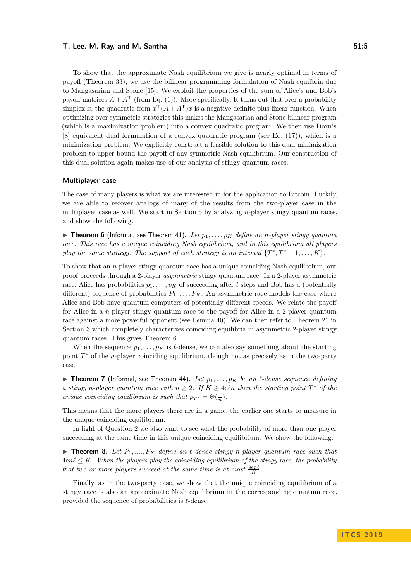#### **T. Lee, M. Ray, and M. Santha 51:5**

To show that the approximate Nash equilibrium we give is nearly optimal in terms of payoff [\(Theorem 33\)](#page-14-0), we use the bilinear programming formulation of Nash equilbria due to Mangasarian and Stone [\[15\]](#page-20-9). We exploit the properties of the sum of Alice's and Bob's payoff matrices  $A + A^T$  (from [Eq. \(1\)\)](#page-2-0). More specifically, It turns out that over a probability simplex *x*, the quadratic form  $x^{\mathrm{T}}(A + A^{\mathrm{T}})x$  is a negative-definite plus linear function. When optimizing over symmetric strategies this makes the Mangasarian and Stone bilinear program (which is a maximization problem) into a convex quadratic program. We then use Dorn's [\[8\]](#page-20-10) equivalent dual formulation of a convex quadratic program (see [Eq. \(17\)\)](#page-14-1), which is a minimization problem. We explicitly construct a feasible solution to this dual minimization problem to upper bound the payoff of any symmetric Nash equilibrium. Our construction of this dual solution again makes use of our analysis of stingy quantum races.

#### **Multiplayer case**

The case of many players is what we are interested in for the application to Bitcoin. Luckily, we are able to recover analogs of many of the results from the two-player case in the multiplayer case as well. We start in [Section 5](#page-16-0) by analyzing *n*-player stingy quantum races, and show the following.

<span id="page-4-0"></span> $\triangleright$  **Theorem 6** (Informal, see [Theorem 41\)](#page-17-0). Let  $p_1, \ldots, p_K$  define an *n*-player stingy quantum *race. This race has a unique coinciding Nash equilibrium, and in this equilibrium all players play the same strategy. The support of each strategy is an interval*  $\{T^*, T^* + 1, \ldots, K\}$ .

To show that an *n*-player stingy quantum race has a unique coinciding Nash equilibrium, our proof proceeds through a 2-player *asymmetric* stingy quantum race. In a 2-player asymmetric race, Alice has probabilities  $p_1, \ldots, p_k$  of succeeding after *t* steps and Bob has a (potentially different) sequence of probabilities  $P_1, \ldots, P_K$ . An asymmetric race models the case where Alice and Bob have quantum computers of potentially different speeds. We relate the payoff for Alice in a *n*-player stingy quantum race to the payoff for Alice in a 2-player quantum race against a more powerful opponent (see Lemma [40\)](#page-17-1). We can then refer to [Theorem 21](#page-10-0) in [Section 3](#page-8-0) which completely characterizes coinciding equilibria in asymmetric 2-player stingy quantum races. This gives [Theorem 6.](#page-4-0)

When the sequence  $p_1, \ldots, p_K$  is  $\ell$ -dense, we can also say something about the starting point  $T^*$  of the *n*-player coinciding equilibrium, though not as precisely as in the two-party case.

**If Theorem 7** (Informal, see [Theorem 44\)](#page-18-0). Let  $p_1, \ldots, p_K$  be an  $\ell$ -dense sequence defining *a stingy n*-player quantum race with  $n \geq 2$ . If  $K \geq 4$ eln then the starting point  $T^*$  of the *unique coinciding equilibrium is such that*  $p_{T^*} = \Theta(\frac{1}{n})$ *.* 

This means that the more players there are in a game, the earlier one starts to measure in the unique coinciding equilibrium.

In light of [Question 2](#page-2-1) we also want to see what the probability of more than one player succeeding at the same time in this unique coinciding equilibrium. We show the following.

<span id="page-4-2"></span>**If Theorem 8.** Let  $P_1, ..., P_K$  define an  $\ell$ -dense stingy *n*-player quantum race such that  $4en\ell \leq K$ . When the players play the coinciding equilibrium of the stingy race, the probability *that two or more players succeed at the same time is at most*  $\frac{8en\ell}{K}$ *.* 

<span id="page-4-1"></span>Finally, as in the two-party case, we show that the unique coinciding equilibrium of a stingy race is also an approximate Nash equilibrium in the corresponding quantum race, provided the sequence of probabilities is  $\ell$ -dense.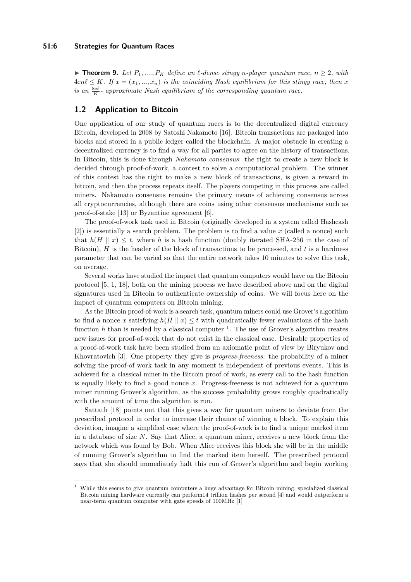### **51:6 Strategies for Quantum Races**

▶ **Theorem 9.** *Let*  $P_1$ , ...,  $P_K$  *define an ℓ*-dense stingy *n*-player quantum race,  $n ≥ 2$ , with  $4en\ell \leq K$ *. If*  $x = (x_1, ..., x_n)$  *is the coinciding Nash equilibrium for this stingy race, then x is an*  $\frac{8e\ell}{K}$  *- approximate Nash equilibrium of the corresponding quantum race.* 

# **1.2 Application to Bitcoin**

One application of our study of quantum races is to the decentralized digital currency Bitcoin, developed in 2008 by Satoshi Nakamoto [\[16\]](#page-20-5). Bitcoin transactions are packaged into blocks and stored in a public ledger called the blockchain. A major obstacle in creating a decentralized currency is to find a way for all parties to agree on the history of transactions. In Bitcoin, this is done through *Nakamoto consensus*: the right to create a new block is decided through proof-of-work, a contest to solve a computational problem. The winner of this contest has the right to make a new block of transactions, is given a reward in bitcoin, and then the process repeats itself. The players competing in this process are called miners. Nakamato consensus remains the primary means of achieving consensus across all cryptocurrencies, although there are coins using other consensus mechanisms such as proof-of-stake [\[13\]](#page-20-11) or Byzantine agreement [\[6\]](#page-20-12).

The proof-of-work task used in Bitcoin (originally developed in a system called Hashcash [\[2\]](#page-20-13)) is essentially a search problem. The problem is to find a value *x* (called a nonce) such that  $h(H \parallel x) \leq t$ , where h is a hash function (doubly iterated SHA-256 in the case of Bitcoin), *H* is the header of the block of transactions to be processed, and *t* is a hardness parameter that can be varied so that the entire network takes 10 minutes to solve this task, on average.

Several works have studied the impact that quantum computers would have on the Bitcoin protocol [\[5,](#page-20-14) [1,](#page-20-15) [18\]](#page-20-2), both on the mining process we have described above and on the digital signatures used in Bitcoin to authenticate ownership of coins. We will focus here on the impact of quantum computers on Bitcoin mining.

As the Bitcoin proof-of-work is a search task, quantum miners could use Grover's algorithm to find a nonce *x* satisfying  $h(H \mid x) \leq t$  with quadratically fewer evaluations of the hash function  $h$  than is needed by a classical computer  $\frac{1}{h}$  $\frac{1}{h}$  $\frac{1}{h}$ . The use of Grover's algorithm creates new issues for proof-of-work that do not exist in the classical case. Desirable properties of a proof-of-work task have been studied from an axiomatic point of view by Biryukov and Khovratovich [\[3\]](#page-20-16). One property they give is *progress-freeness*: the probability of a miner solving the proof-of work task in any moment is independent of previous events. This is achieved for a classical miner in the Bitcoin proof of work, as every call to the hash function is equally likely to find a good nonce *x*. Progress-freeness is not achieved for a quantum miner running Grover's algorithm, as the success probability grows roughly quadratically with the amount of time the algorithm is run.

Sattath [\[18\]](#page-20-2) points out that this gives a way for quantum miners to deviate from the prescribed protocol in order to increase their chance of winning a block. To explain this deviation, imagine a simplified case where the proof-of-work is to find a unique marked item in a database of size *N*. Say that Alice, a quantum miner, receives a new block from the network which was found by Bob. When Alice receives this block she will be in the middle of running Grover's algorithm to find the marked item herself. The prescribed protocol says that she should immediately halt this run of Grover's algorithm and begin working

<span id="page-5-0"></span><sup>1</sup> While this seems to give quantum computers a huge advantage for Bitcoin mining, specialized classical Bitcoin mining hardware currently can perform14 trillion hashes per second [\[4\]](#page-20-17) and would outperform a near-term quantum computer with gate speeds of 100MHz [\[1\]](#page-20-15)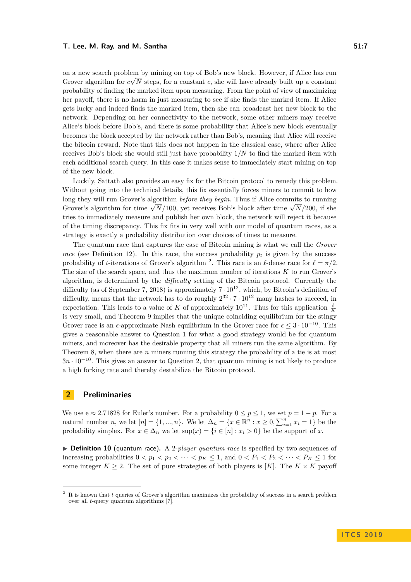on a new search problem by mining on top of Bob's new block. However, if Alice has run √ Grover algorithm for  $c\sqrt{N}$  steps, for a constant c, she will have already built up a constant probability of finding the marked item upon measuring. From the point of view of maximizing her payoff, there is no harm in just measuring to see if she finds the marked item. If Alice gets lucky and indeed finds the marked item, then she can broadcast her new block to the network. Depending on her connectivity to the network, some other miners may receive Alice's block before Bob's, and there is some probability that Alice's new block eventually becomes the block accepted by the network rather than Bob's, meaning that Alice will receive the bitcoin reward. Note that this does not happen in the classical case, where after Alice receives Bob's block she would still just have probability 1*/N* to find the marked item with each additional search query. In this case it makes sense to immediately start mining on top of the new block.

Luckily, Sattath also provides an easy fix for the Bitcoin protocol to remedy this problem. Without going into the technical details, this fix essentially forces miners to commit to how long they will run Grover's algorithm *before they begin*. Thus if Alice commits to running  $G$ rong they will full Grover's algorithm *before they beyn.* Thus if Affice commits to fulliming Grover's algorithm for time  $\sqrt{N}/100$ , yet receives Bob's block after time  $\sqrt{N}/200$ , if she tries to immediately measure and publish her own block, the network will reject it because of the timing discrepancy. This fix fits in very well with our model of quantum races, as a strategy is exactly a probability distribution over choices of times to measure.

The quantum race that captures the case of Bitcoin mining is what we call the *Grover race* (see Definition [12\)](#page-7-1). In this race, the success probability  $p_t$  is given by the success probability of *t*-iterations of Grover's algorithm <sup>[2](#page-6-0)</sup>. This race is an  $\ell$ -dense race for  $\ell = \pi/2$ . The size of the search space, and thus the maximum number of iterations *K* to run Grover's algorithm, is determined by the *difficulty* setting of the Bitcoin protocol. Currently the difficulty (as of September 7, 2018) is approximately  $7 \cdot 10^{12}$ , which, by Bitcoin's definition of difficulty, means that the network has to do roughly  $2^{32} \cdot 7 \cdot 10^{12}$  many hashes to succeed, in expectation. This leads to a value of *K* of approximately  $10^{11}$ . Thus for this application  $\frac{\ell}{K}$ is very small, and [Theorem 9](#page-4-1) implies that the unique coinciding equilibrium for the stingy Grover race is an  $\epsilon$ -approximate Nash equilibrium in the Grover race for  $\epsilon \leq 3 \cdot 10^{-10}$ . This gives a reasonable answer to [Question 1](#page-1-0) for what a good strategy would be for quantum miners, and moreover has the desirable property that all miners run the same algorithm. By [Theorem 8,](#page-4-2) when there are *n* miners running this strategy the probability of a tie is at most 3*n* · 10−<sup>10</sup>. This gives an answer to [Question 2,](#page-2-1) that quantum mining is not likely to produce a high forking rate and thereby destabilize the Bitcoin protocol.

# **2 Preliminaries**

We use  $e \approx 2.71828$  for Euler's number. For a probability  $0 \le p \le 1$ , we set  $\bar{p} = 1 - p$ . For a natural number *n*, we let  $[n] = \{1, ..., n\}$ . We let  $\Delta_n = \{x \in \mathbb{R}^n : x \ge 0, \sum_{i=1}^n x_i = 1\}$  be the probability simplex. For  $x \in \Delta_n$  we let  $\sup(x) = \{i \in [n] : x_i > 0\}$  be the support of *x*.

▶ Definition 10 (quantum race). A 2-*player quantum race* is specified by two sequences of increasing probabilities  $0 < p_1 < p_2 < \cdots < p_K \le 1$ , and  $0 < P_1 < P_2 < \cdots < P_K \le 1$  for some integer  $K \geq 2$ . The set of pure strategies of both players is [K]. The  $K \times K$  payoff

<span id="page-6-0"></span><sup>2</sup> It is known that *t* queries of Grover's algorithm maximizes the probability of success in a search problem over all *t*-query quantum algorithms [\[7\]](#page-20-18).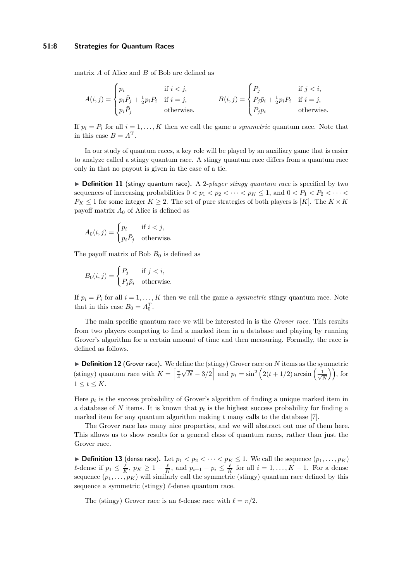#### **51:8 Strategies for Quantum Races**

matrix *A* of Alice and *B* of Bob are defined as

$$
A(i,j) = \begin{cases} p_i & \text{if } i < j, \\ p_i \bar{P}_j + \frac{1}{2} p_i P_i & \text{if } i = j, \\ p_i \bar{P}_j & \text{otherwise.} \end{cases} \qquad B(i,j) = \begin{cases} P_j & \text{if } j < i, \\ P_j \bar{p}_i + \frac{1}{2} p_i P_i & \text{if } i = j, \\ P_j \bar{p}_i & \text{otherwise.} \end{cases}
$$

If  $p_i = P_i$  for all  $i = 1, \ldots, K$  then we call the game a *symmetric* quantum race. Note that in this case  $B = A^T$ .

In our study of quantum races, a key role will be played by an auxiliary game that is easier to analyze called a stingy quantum race. A stingy quantum race differs from a quantum race only in that no payout is given in the case of a tie.

▶ **Definition 11** (stingy quantum race). A 2-*player stingy quantum race* is specified by two sequences of increasing probabilities  $0 < p_1 < p_2 < \cdots < p_K \leq 1$ , and  $0 < P_1 < P_2 < \cdots <$  $P_K \leq 1$  for some integer  $K \geq 2$ . The set of pure strategies of both players is [*K*]. The  $K \times K$ payoff matrix *A*<sup>0</sup> of Alice is defined as

$$
A_0(i,j) = \begin{cases} p_i & \text{if } i < j, \\ p_i \bar{P}_j & \text{otherwise.} \end{cases}
$$

The payoff matrix of Bob  $B_0$  is defined as

$$
B_0(i,j) = \begin{cases} P_j & \text{if } j < i, \\ P_j \bar{p}_i & \text{otherwise.} \end{cases}
$$

If  $p_i = P_i$  for all  $i = 1, ..., K$  then we call the game a *symmetric* stingy quantum race. Note that in this case  $B_0 = A_0^{\mathrm{T}}$ .

The main specific quantum race we will be interested in is the *Grover race*. This results from two players competing to find a marked item in a database and playing by running Grover's algorithm for a certain amount of time and then measuring. Formally, the race is defined as follows.

<span id="page-7-1"></span>▶ **Definition 12** (Grover race). We define the (stingy) Grover race on *N* items as the symmetric (stingy) quantum race with  $K = \left\lceil \frac{\pi}{4} \right\rceil$ √  $\overline{N} - 3/2$  and  $p_t = \sin^2(2(t+1/2)) \arcsin(\frac{1}{\sqrt{2}})$  $\left(\frac{1}{\overline{N}}\right)\right)$ , for  $1 \leq t \leq K$ .

Here *p<sup>t</sup>* is the success probability of Grover's algorithm of finding a unique marked item in a database of  $N$  items. It is known that  $p_t$  is the highest success probability for finding a marked item for any quantum algorithm making *t* many calls to the database [\[7\]](#page-20-18).

The Grover race has many nice properties, and we will abstract out one of them here. This allows us to show results for a general class of quantum races, rather than just the Grover race.

<span id="page-7-0"></span>▶ **Definition 13** (dense race). Let  $p_1 < p_2 < \cdots < p_K \le 1$ . We call the sequence  $(p_1, \ldots, p_K)$ *l*-dense if  $p_1 \n≤ \frac{l}{K}$ ,  $p_K \n≥ 1 - \frac{l}{K}$ , and  $p_{i+1} - p_i \n≤ \frac{l}{K}$  for all  $i = 1, ..., K - 1$ . For a dense sequence  $(p_1, \ldots, p_K)$  will similarly call the symmetric (stingy) quantum race defined by this sequence a symmetric (stingy)  $\ell$ -dense quantum race.

The (stingy) Grover race is an  $\ell$ -dense race with  $\ell = \pi/2$ .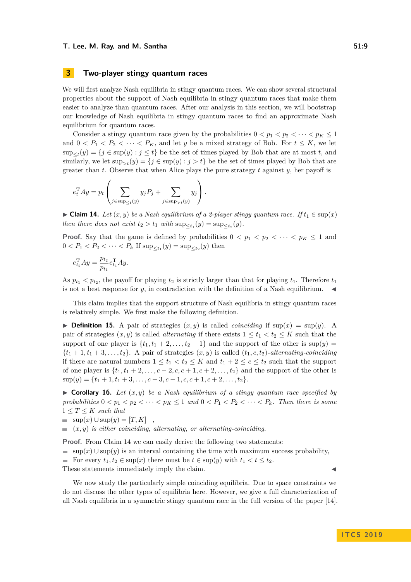# <span id="page-8-0"></span>**3 Two-player stingy quantum races**

We will first analyze Nash equilibria in stingy quantum races. We can show several structural properties about the support of Nash equilibria in stingy quantum races that make them easier to analyze than quantum races. After our analysis in this section, we will bootstrap our knowledge of Nash equilibria in stingy quantum races to find an approximate Nash equilibrium for quantum races.

Consider a stingy quantum race given by the probabilities  $0 < p_1 < p_2 < \cdots < p_K \leq 1$ and  $0 < P_1 < P_2 < \cdots < P_K$ , and let *y* be a mixed strategy of Bob. For  $t \leq K$ , we let  $\sup_{\leq t}(y) = \{j \in \sup(y) : j \leq t\}$  be the set of times played by Bob that are at most *t*, and similarly, we let  $\sup_{\geq t}(y) = \{j \in \sup(y) : j > t\}$  be the set of times played by Bob that are greater than *t*. Observe that when Alice plays the pure strategy *t* against *y*, her payoff is

$$
e_t^{\mathrm{T}} A y = p_t \left( \sum_{j \in \sup_{\leq t} (y)} y_j \overline{P}_j + \sum_{j \in \sup_{> t} (y)} y_j \right).
$$

<span id="page-8-2"></span>► Claim 14. Let  $(x, y)$  be a Nash equilibrium of a 2-player stingy quantum race. If  $t_1 \in \text{sup}(x)$ *then there does not exist*  $t_2 > t_1$  *with*  $\sup_{\leq t_1}(y) = \sup_{\leq t_2}(y)$ *.* 

**Proof.** Say that the game is defined by probabilities  $0 < p_1 < p_2 < \cdots < p_K \leq 1$  and  $0 < P_1 < P_2 < \cdots < P_k$  If  $\sup_{\leq t_1}(y) = \sup_{\leq t_2}(y)$  then

$$
e_{t_2}^{\mathrm{T}}Ay = \frac{p_{t_2}}{p_{t_1}}e_{t_1}^{\mathrm{T}}Ay.
$$

As  $p_{t_1} < p_{t_2}$ , the payoff for playing  $t_2$  is strictly larger than that for playing  $t_1$ . Therefore  $t_1$ is not a best response for  $y$ , in contradiction with the definition of a Nash equilibrium.

This claim implies that the support structure of Nash equilibria in stingy quantum races is relatively simple. We first make the following definition.

**Definition 15.** A pair of strategies  $(x, y)$  is called *coinciding* if  $\sup(x) = \sup(y)$ . A pair of strategies  $(x, y)$  is called *alternating* if there exists  $1 \le t_1 < t_2 \le K$  such that the support of one player is  $\{t_1, t_1 + 2, \ldots, t_2 - 1\}$  and the support of the other is sup(*y*) =  $\{t_1 + 1, t_1 + 3, \ldots, t_2\}$ . A pair of strategies  $(x, y)$  is called  $(t_1, c, t_2)$ -alternating-coinciding if there are natural numbers  $1 \le t_1 < t_2 \le K$  and  $t_1 + 2 \le c \le t_2$  such that the support of one player is  $\{t_1, t_1 + 2, \ldots, c - 2, c, c + 1, c + 2, \ldots, t_2\}$  and the support of the other is  $\sup(y) = \{t_1 + 1, t_1 + 3, \ldots, c - 3, c - 1, c, c + 1, c + 2, \ldots, t_2\}.$ 

<span id="page-8-1"></span> $\triangleright$  **Corollary 16.** Let  $(x, y)$  be a Nash equilibrium of a stingy quantum race specified by *probabilities*  $0 < p_1 < p_2 < \cdots < p_K \leq 1$  and  $0 < P_1 < P_2 < \cdots < P_k$ . Then there is some  $1 \leq T \leq K$  *such that* 

$$
= \sup(x) \cup \sup(y) = [T, K],
$$

 $(x, y)$  *is either coinciding, alternating, or alternating-coinciding.* 

**Proof.** From [Claim 14](#page-8-2) we can easily derive the following two statements:

sup(x)  $\cup$  sup(y) is an interval containing the time with maximum success probability,

For every  $t_1, t_2 \in \text{sup}(x)$  there must be  $t \in \text{sup}(y)$  with  $t_1 < t \leq t_2$ .

These statements immediately imply the claim.

We now study the particularly simple coinciding equilibria. Due to space constraints we do not discuss the other types of equilibria here. However, we give a full characterization of all Nash equilibria in a symmetric stingy quantum race in the full version of the paper [\[14\]](#page-20-1).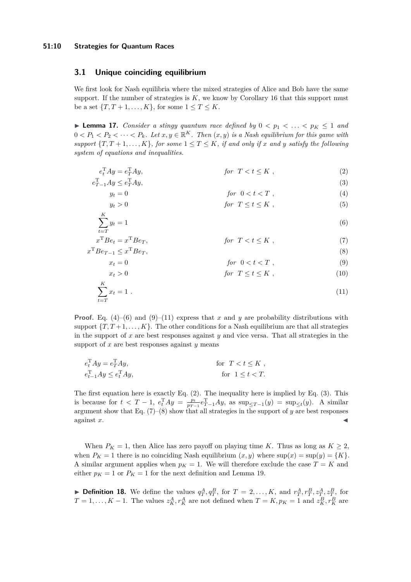### **51:10 Strategies for Quantum Races**

# **3.1 Unique coinciding equilibrium**

We first look for Nash equilibria where the mixed strategies of Alice and Bob have the same support. If the number of strategies is  $K$ , we know by Corollary [16](#page-8-1) that this support must be a set  ${T, T + 1, ..., K}$ , for some  $1 \le T \le K$ .

<span id="page-9-8"></span>**I Lemma 17.** *Consider a stingy quantum race defined by*  $0 < p_1 < \ldots < p_K \leq 1$  *and*  $0 < P_1 < P_2 < \cdots < P_k$ . Let  $x, y \in \mathbb{R}^K$ . Then  $(x, y)$  is a Nash equilibrium for this game with *support*  $\{T, T + 1, \ldots, K\}$ *, for some*  $1 \le T \le K$ *, if and only if x and y satisfy the following system of equations and inequalities.*

$$
e_t^T A y = e_T^T A y, \qquad \qquad \text{for } T < t \le K \tag{2}
$$

$$
e_{T-1}^{\mathrm{T}}Ay \le e_T^{\mathrm{T}}Ay,\tag{3}
$$

$$
y_t = 0 \qquad \qquad \text{for} \ \ 0 < t < T \ , \tag{4}
$$

<span id="page-9-5"></span><span id="page-9-4"></span>
$$
y_t > 0 \t\t for \tT \le t \le K , \t\t(5)
$$

$$
\sum_{t=T} y_t = 1 \tag{6}
$$

$$
x^{T}Be_{t} = x^{T}Be_{T}, \qquad \qquad \text{for } T < t \leq K , \tag{7}
$$
\n
$$
x^{T}Be_{T-1} \leq x^{T}Be_{T}, \qquad \qquad \text{(8)}
$$

<span id="page-9-7"></span><span id="page-9-6"></span><span id="page-9-2"></span><span id="page-9-1"></span><span id="page-9-0"></span>
$$
x_t = 0 \qquad \qquad \text{for} \ \ 0 < t < T \ , \tag{9}
$$

<span id="page-9-3"></span>
$$
x_t > 0 \t\t for \tT \le t \le K , \t\t (10)
$$

$$
\sum_{t=T}^{K} x_t = 1 \tag{11}
$$

**Proof.** [Eq. \(4\)–](#page-9-0)[\(6\)](#page-9-1) and [\(9\)](#page-9-2)–[\(11\)](#page-9-3) express that *x* and *y* are probability distributions with support  ${T, T+1, \ldots, K}$ . The other conditions for a Nash equilibrium are that all strategies in the support of *x* are best responses against *y* and vice versa. That all strategies in the support of *x* are best responses against *y* means

$$
e_t^{\mathrm{T}} Ay = e_T^{\mathrm{T}} Ay, \qquad \text{for } T < t \le K ,
$$
  
\n
$$
e_{t-1}^{\mathrm{T}} Ay \le e_t^{\mathrm{T}} Ay, \qquad \text{for } 1 \le t < T.
$$

The first equation here is exactly Eq.  $(2)$ . The inequality here is implied by Eq.  $(3)$ . This is because for  $t < T - 1$ ,  $e_t^T A y = \frac{p_t}{p_{T-1}} e_{T-1}^T A y$ , as  $\sup_{\leq T-1} (y) = \sup_{\leq t} (y)$ . A similar argument show that [Eq. \(7\)–](#page-9-6)[\(8\)](#page-9-7) show that all strategies in the support of *y* are best responses  $\alpha$  against *x*.

When  $P_K = 1$ , then Alice has zero payoff on playing time *K*. Thus as long as  $K \geq 2$ , when  $P_K = 1$  there is no coinciding Nash equilibrium  $(x, y)$  where  $\sup(x) = \sup(y) = \{K\}.$ A similar argument applies when  $p<sub>K</sub> = 1$ . We will therefore exclude the case  $T = K$  and either  $p_K = 1$  or  $P_K = 1$  for the next definition and Lemma [19.](#page-10-1)

**Definition 18.** We define the values  $q_T^A, q_T^B$ , for  $T = 2, ..., K$ , and  $r_T^A, r_T^B, z_T^A, z_T^B$ , for  $T = 1, \ldots, K - 1$ . The values  $z_K^A, r_K^A$  are not defined when  $T = K, p_K = 1$  and  $z_K^B, r_K^B$  are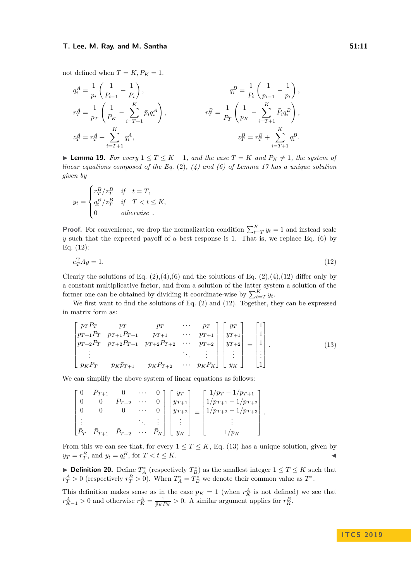#### **T. Lee, M. Ray, and M. Santha 51:11**

not defined when  $T = K$ ,  $P_K = 1$ .

$$
\begin{aligned} q_i^A &= \frac{1}{p_i} \left( \frac{1}{P_{i-1}} - \frac{1}{P_i} \right), & q_i^B &= \frac{1}{P_i} \left( \frac{1}{p_{i-1}} - \frac{1}{p_i} \right), \\ r_T^A &= \frac{1}{\bar{p}_T} \left( \frac{1}{P_K} - \sum_{i = T + 1}^K \bar{p}_i q_i^A \right), & r_T^B &= \frac{1}{\bar{P}_T} \left( \frac{1}{p_K} - \sum_{i = T + 1}^K \bar{P}_i q_i^B \right), \\ z_T^A &= r_T^A + \sum_{i = T + 1}^K q_i^A, & z_T^B &= r_T^B + \sum_{i = T + 1}^K q_i^B. \end{aligned}
$$

<span id="page-10-1"></span>▶ **Lemma 19.** *For every*  $1 \leq T \leq K - 1$ *, and the case*  $T = K$  *and*  $P_K \neq 1$ *, the system of linear equations composed of the [Eq.](#page-9-4)* (2)*, [\(4\)](#page-9-0) and [\(6\)](#page-9-1) of Lemma [17](#page-9-8) has a unique solution given by*

$$
y_t = \begin{cases} r_T^B/z_T^B & \text{if } t = T, \\ q_t^B/z_T^B & \text{if } T < t \le K, \\ 0 & \text{otherwise} \end{cases}
$$

**Proof.** For convenience, we drop the normalization condition  $\sum_{t=T}^{K} y_t = 1$  and instead scale *y* such that the expected payoff of a best response is 1. That is, we replace [Eq. \(6\)](#page-9-1) by [Eq. \(12\):](#page-10-2)

<span id="page-10-2"></span>
$$
e_T^{\mathrm{T}} A y = 1. \tag{12}
$$

Clearly the solutions of Eq.  $(2),(4),(6)$  $(2),(4),(6)$  $(2),(4),(6)$  $(2),(4),(6)$  and the solutions of Eq.  $(2),(4),(12)$  $(2),(4),(12)$  differ only by a constant multiplicative factor, and from a solution of the latter system a solution of the former one can be obtained by dividing it coordinate-wise by  $\sum_{t=T}^{K} y_t$ .

We first want to find the solutions of [Eq. \(2\)](#page-9-4) and [\(12\)](#page-10-2). Together, they can be expressed in matrix form as:

<span id="page-10-3"></span>
$$
\begin{bmatrix} p_T \bar{P}_T & p_T & p_T & \cdots & p_T \\ p_{T+1} \bar{P}_T & p_{T+1} \bar{P}_{T+1} & p_{T+1} & \cdots & p_{T+1} \\ p_{T+2} \bar{P}_T & p_{T+2} \bar{P}_{T+1} & p_{T+2} \bar{P}_{T+2} & \cdots & p_{T+2} \\ \vdots & & & \ddots & \vdots \\ p_K \bar{P}_T & p_K \bar{p}_{T+1} & p_K \bar{P}_{T+2} & \cdots & p_K \bar{P}_K \end{bmatrix} \begin{bmatrix} y_T \\ y_{T+1} \\ y_{T+2} \\ \vdots \\ y_K \end{bmatrix} = \begin{bmatrix} 1 \\ 1 \\ 1 \\ \vdots \\ 1 \end{bmatrix} .
$$
 (13)

We can simplify the above system of linear equations as follows:

| $\begin{bmatrix} 0 & P_{T+1} & 0 & \cdots & 0 \end{bmatrix} \begin{bmatrix} y_T \end{bmatrix}$                                     |           |  |                                                                                                                                                                                                    | $\lceil 1/p_T - 1/p_{T+1} \rceil$                  |  |
|------------------------------------------------------------------------------------------------------------------------------------|-----------|--|----------------------------------------------------------------------------------------------------------------------------------------------------------------------------------------------------|----------------------------------------------------|--|
|                                                                                                                                    | $P_{T+2}$ |  |                                                                                                                                                                                                    | $ y_{T+1} $ $ 1/p_{T+1}-1/p_{T+2} $                |  |
|                                                                                                                                    |           |  |                                                                                                                                                                                                    | $\cdots$ 0 $ y_{T+2}  =  1/p_{T+2} - 1/p_{T+3} $ . |  |
|                                                                                                                                    |           |  | $\left\{ \left\{ \left[ \left[ \left[ \left[ \left] \right] \right] \right] \right] \right\} \right\} \left[ \left[ \left[ \left[ \left[ \left] \right] \right] \right] \right] \right\} \right\}$ |                                                    |  |
| $\begin{bmatrix} \bar{P}_T & \bar{P}_{T+1} & \bar{P}_{T+2} & \cdots & \bar{P}_K \end{bmatrix}$ $\begin{bmatrix} y_K \end{bmatrix}$ |           |  |                                                                                                                                                                                                    |                                                    |  |

From this we can see that, for every  $1 \leq T \leq K$ , [Eq. \(13\)](#page-10-3) has a unique solution, given by  $y_T = r_T^B$ , and  $y_t = q_t^B$ , for  $T < t \le K$ .

**Definition 20.** Define  $T_A^*$  (respectively  $T_B^*$ ) as the smallest integer  $1 \le T \le K$  such that  $r_T^A > 0$  (respectively  $r_T^B > 0$ ). When  $T_A^* = T_B^*$  we denote their common value as  $T^*$ .

<span id="page-10-0"></span>This definition makes sense as in the case  $p<sub>K</sub> = 1$  (when  $r<sub>K</sub><sup>A</sup>$  is not defined) we see that  $r_{K-1}^A > 0$  and otherwise  $r_K^A = \frac{1}{\bar{p}_K P_K} > 0$ . A similar argument applies for  $r_K^B$ .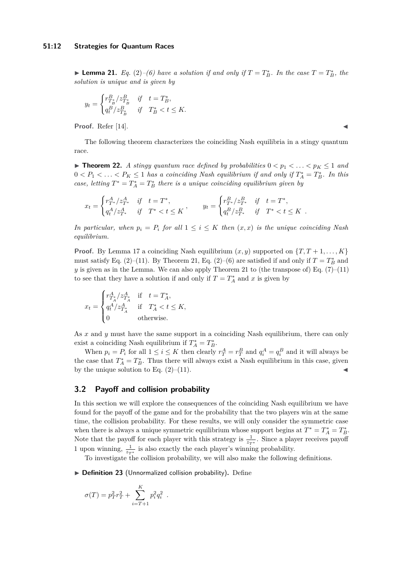► **Lemma 21.** *[Eq.](#page-9-4)* (2)–[\(6\)](#page-9-1) *have a solution if and only if*  $T = T_B^*$ *. In the case*  $T = T_B^*$ *, the solution is unique and is given by*

$$
y_t = \begin{cases} r_{T_B}^B / z_{T_B}^B & \text{if} \quad t = T_B^*, \\ q_t^B / z_{T_B^*}^B & \text{if} \quad T_B^* < t \le K. \end{cases}
$$

Proof. Refer [\[14\]](#page-20-1).

The following theorem characterizes the coinciding Nash equilibria in a stingy quantum race.

<span id="page-11-0"></span>**Find 12.** A stingy quantum race defined by probabilities  $0 < p_1 < \ldots < p_K \leq 1$  and  $0 < P_1 < \ldots < P_K \leq 1$  has a coinciding Nash equilibrium if and only if  $T_A^* = T_B^*$ . In this *case, letting*  $T^* = T_A^* = T_B^*$  *there is a unique coinciding equilibrium given by* 

$$
x_t = \begin{cases} r_{T^*}^A/z_{T^*}^A & \text{if } t = T^*, \\ q_t^A/z_{T^*}^A & \text{if } T^* < t \le K \end{cases}, \qquad y_t = \begin{cases} r_{T^*}^B/z_{T^*}^B & \text{if } t = T^*, \\ q_t^B/z_{T^*}^B & \text{if } T^* < t \le K \end{cases}.
$$

*In particular, when*  $p_i = P_i$  *for all*  $1 \leq i \leq K$  *then*  $(x, x)$  *is the unique coinciding Nash equilibrium.*

**Proof.** By Lemma [17](#page-9-8) a coinciding Nash equilibrium  $(x, y)$  supported on  $\{T, T+1, \ldots, K\}$ must satisfy [Eq. \(2\)–](#page-9-4)[\(11\)](#page-9-3). By [Theorem 21,](#page-10-0) Eq. (2)–[\(6\)](#page-9-1) are satisfied if and only if  $T = T_B^*$  and *y* is given as in the Lemma. We can also apply [Theorem 21](#page-10-0) to (the transpose of) Eq.  $(7)-(11)$  $(7)-(11)$ to see that they have a solution if and only if  $T = T_A^*$  and *x* is given by

$$
x_t = \begin{cases} r_{T_A^A}^A/z_{T_A^A}^A & \text{if } t = T_A^*, \\ q_t^A/z_{T_A^A}^A & \text{if } T_A^* < t \le K, \\ 0 & \text{otherwise.} \end{cases}
$$

As *x* and *y* must have the same support in a coinciding Nash equilibrium, there can only exist a coinciding Nash equilibrium if  $T_A^* = T_B^*$ .

When  $p_i = P_i$  for all  $1 \leq i \leq K$  then clearly  $r_T^A = r_T^B$  and  $q_i^A = q_i^B$  and it will always be the case that  $T_A^* = T_B^*$ . Thus there will always exist a Nash equilibrium in this case, given by the unique solution to Eq.  $(2)$ – $(11)$ .

### **3.2 Payoff and collision probability**

In this section we will explore the consequences of the coinciding Nash equilibrium we have found for the payoff of the game and for the probability that the two players win at the same time, the collision probability. For these results, we will only consider the symmetric case when there is always a unique symmetric equilibrium whose support begins at  $T^* = T_A^* = T_B^*$ . Note that the payoff for each player with this strategy is  $\frac{1}{z_{T^*}}$ . Since a player receives payoff 1 upon winning,  $\frac{1}{z_{T^*}}$  is also exactly the each player's winning probability.

To investigate the collision probability, we will also make the following definitions.

▶ Definition 23 (Unnormalized collision probability). Define

*.*

$$
\sigma(T) = p_T^2 r_T^2 + \sum_{i=T+1}^{K} p_i^2 q_i^2
$$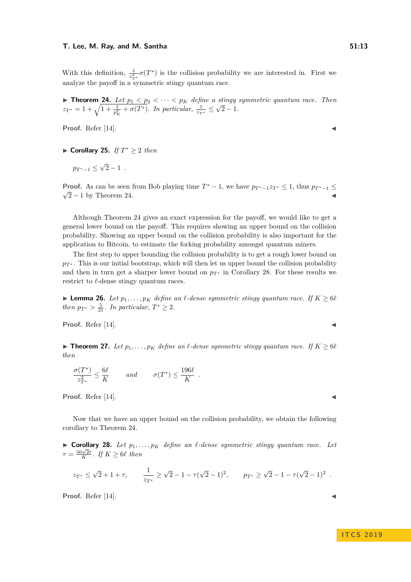With this definition,  $\frac{1}{z_{T^*}^2} \sigma(T^*)$  is the collision probability we are interested in. First we analyze the payoff in a symmetric stingy quantum race.

<span id="page-12-3"></span>**Theorem 24.** Let  $p_1 < p_2 < \cdots < p_K$  define a stingy symmetric quantum race. Then  $z_{T^*} = 1 + \sqrt{1 + \frac{1}{p_K^2} + \sigma(T^*)}$ . In particular,  $\frac{1}{z_{T^*}} \le$ √  $2 - 1.$ 

**Proof.** Refer [\[14\]](#page-20-1).

<span id="page-12-0"></span>I **Corollary 25.** *If T* <sup>∗</sup> ≥ 2 *then*

 $p_{T^*-1} \leq$ √  $2 - 1$ .

**Proof.** As can be seen from Bob playing time  $T^* - 1$ , we have  $p_{T^* - 1} z_{T^*} \leq 1$ , thus  $p_{T^* - 1} \leq \sqrt{\frac{2}{\pi}}$  $\sqrt{2} - 1$  by [Theorem 24.](#page-12-3)

Although [Theorem 24](#page-12-3) gives an exact expression for the payoff, we would like to get a general lower bound on the payoff. This requires showing an upper bound on the collision probability. Showing an upper bound on the collision probability is also important for the application to Bitcoin, to estimate the forking probability amongst quantum miners.

The first step to upper bounding the collision probability is to get a rough lower bound on  $p_{\mathcal{T}^*}$ . This is our initial bootstrap, which will then let us upper bound the collision probability and then in turn get a sharper lower bound on  $p_{T^*}$  in Corollary [28.](#page-12-1) For these results we restrict to  $\ell$ -dense stingy quantum races.

► **Lemma 26.** *Let*  $p_1, \ldots, p_K$  *define an*  $\ell$ -*dense symmetric stingy quantum race. If*  $K \geq 6\ell$ *then*  $p_{T^*} > \frac{5}{21}$ *. In particular,*  $T^* \geq 2$ *.* 

**Proof.** Refer [\[14\]](#page-20-1).

<span id="page-12-2"></span>▶ **Theorem 27.** Let  $p_1, \ldots, p_K$  define an  $\ell$ -dense symmetric stingy quantum race. If  $K \geq 6\ell$ *then*

$$
\frac{\sigma(T^*)}{z_{T^*}^2} \le \frac{6\ell}{K} \qquad \text{and} \qquad \sigma(T^*) \le \frac{196\ell}{K} .
$$

**Proof.** Refer [\[14\]](#page-20-1).

Now that we have an upper bound on the collision probability, we obtain the following corollary to [Theorem 24.](#page-12-3)

<span id="page-12-1"></span> $\triangleright$  **Corollary 28.** Let  $p_1, \ldots, p_K$  define an  $\ell$ -dense symmetric stingy quantum race. Let  $\tau = \frac{50\sqrt{2}\ell}{K}$ . If  $K \geq 6\ell$  then

$$
z_{T^*} \le \sqrt{2} + 1 + \tau
$$
,  $\frac{1}{z_{T^*}} \ge \sqrt{2} - 1 - \tau(\sqrt{2} - 1)^2$ ,  $pr^* \ge \sqrt{2} - 1 - \tau(\sqrt{2} - 1)^2$ .

**Proof.** Refer [\[14\]](#page-20-1).

**I T C S 2 0 1 9**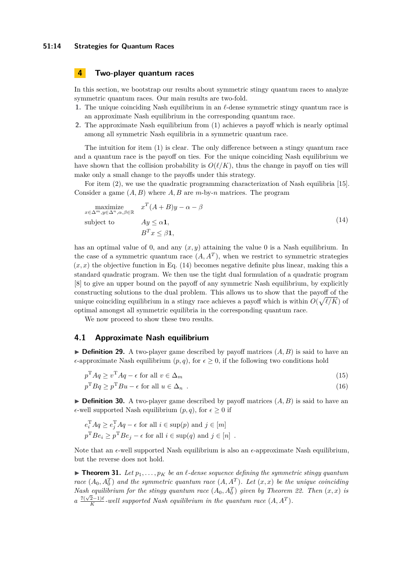### **51:14 Strategies for Quantum Races**

# <span id="page-13-0"></span>**4 Two-player quantum races**

In this section, we bootstrap our results about symmetric stingy quantum races to analyze symmetric quantum races. Our main results are two-fold.

- **1.** The unique coinciding Nash equilibrium in an  $\ell$ -dense symmetric stingy quantum race is an approximate Nash equilibrium in the corresponding quantum race.
- **2.** The approximate Nash equilibrium from (1) achieves a payoff which is nearly optimal among all symmetric Nash equilibria in a symmetric quantum race.

The intuition for item (1) is clear. The only difference between a stingy quantum race and a quantum race is the payoff on ties. For the unique coinciding Nash equilibrium we have shown that the collision probability is  $O(\ell/K)$ , thus the change in payoff on ties will make only a small change to the payoffs under this strategy.

For item (2), we use the quadratic programming characterization of Nash equilibria [\[15\]](#page-20-9). Consider a game (*A, B*) where *A, B* are *m*-by-*n* matrices. The program

<span id="page-13-2"></span>
$$
\begin{array}{ll}\n\text{maximize} & x^T (A + B)y - \alpha - \beta \\
\text{subject to} & Ay \leq \alpha \mathbf{1}, \\
& B^T x \leq \beta \mathbf{1},\n\end{array} \tag{14}
$$

has an optimal value of 0, and any  $(x, y)$  attaining the value 0 is a Nash equilibrium. In the case of a symmetric quantum race  $(A, A<sup>T</sup>)$ , when we restrict to symmetric strategies  $(x, x)$  the objective function in Eq.  $(14)$  becomes negative definite plus linear, making this a standard quadratic program. We then use the tight dual formulation of a quadratic program [\[8\]](#page-20-10) to give an upper bound on the payoff of any symmetric Nash equilibrium, by explicitly constructing solutions to the dual problem. This allows us to show that the payoff of the unique coinciding equilibrium in a stingy race achieves a payoff which is within  $O(\sqrt{\ell/K})$  of optimal amongst all symmetric equilibria in the corresponding quantum race.

We now proceed to show these two results.

### **4.1 Approximate Nash equilibrium**

 $\triangleright$  **Definition 29.** A two-player game described by payoff matrices  $(A, B)$  is said to have an  $\epsilon$ -approximate Nash equilibrium  $(p, q)$ , for  $\epsilon > 0$ , if the following two conditions hold

$$
p^{\mathrm{T}} A q \ge v^{\mathrm{T}} A q - \epsilon \text{ for all } v \in \Delta_m \tag{15}
$$

$$
p^{\mathrm{T}} B q \ge p^{\mathrm{T}} B u - \epsilon \text{ for all } u \in \Delta_n \tag{16}
$$

**Definition 30.** A two-player game described by payoff matrices  $(A, B)$  is said to have an  $\epsilon$ -well supported Nash equilibrium  $(p, q)$ , for  $\epsilon \geq 0$  if

$$
e_i^{\mathrm{T}} A q \ge e_j^{\mathrm{T}} A q - \epsilon \text{ for all } i \in \text{sup}(p) \text{ and } j \in [m]
$$
  

$$
p^{\mathrm{T}} B e_i \ge p^{\mathrm{T}} B e_j - \epsilon \text{ for all } i \in \text{sup}(q) \text{ and } j \in [n]
$$
.

Note that an  $\epsilon$ -well supported Nash equilibrium is also an  $\epsilon$ -approximate Nash equilibrium, but the reverse does not hold.

<span id="page-13-1"></span>**Figure 11.** Let  $p_1, \ldots, p_K$  be an *l*-dense sequence defining the symmetric stingy quantum *race*  $(A_0, A_0^T)$  *and the symmetric quantum race*  $(A, A^T)$ *. Let*  $(x, x)$  *be the unique coinciding Nash equilibrium for the stingy quantum race*  $(A_0, A_0^T)$  given by [Theorem 22.](#page-11-0) Then  $(x, x)$  is *a*  $rac{7(\sqrt{2}-1)\ell}{K}$  $\frac{(2-1)\ell}{K}$ -well supported Nash equilibrium in the quantum race  $(A, A^T)$ .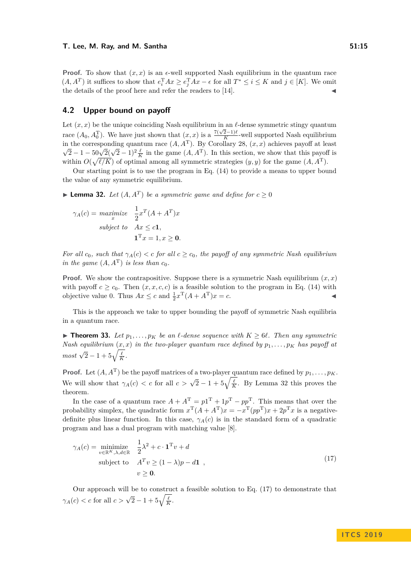**Proof.** To show that  $(x, x)$  is an  $\epsilon$ -well supported Nash equilibrium in the quantum race  $(A, A^T)$  it suffices to show that  $e_i^T A x \ge e_j^T A x - \epsilon$  for all  $T^* \le i \le K$  and  $j \in [K]$ . We omit the details of the proof here and refer the readers to [\[14\]](#page-20-1).

### **4.2 Upper bound on payoff**

Let  $(x, x)$  be the unique coinciding Nash equilibrium in an  $\ell$ -dense symmetric stingy quantum race  $(A_0, A_0^T)$ . We have just shown that  $(x, x)$  is a  $\frac{7(\sqrt{2}-1)\ell}{K}$  $\frac{Z-1}{K}$ -well supported Nash equilibrium in the corresponding quantum race  $(A, A^T)$ . By Corollary [28,](#page-12-1)  $(x, x)$  achieves payoff at least  $\sqrt{2} - 1 - 50\sqrt{2}(\sqrt{2} - 1)^2 \frac{\ell}{K}$  in the game  $(A, A^T)$ . In this section, we show that this payoff is within  $O(\sqrt{\ell/K})$  of optimal among all symmetric strategies  $(y, y)$  for the game  $(A, A^T)$ .

Our starting point is to use the program in [Eq. \(14\)](#page-13-2) to provide a means to upper bound the value of any symmetric equilibrium.

<span id="page-14-2"></span>▶ **Lemma 32.** *Let*  $(A, A^T)$  *be a symmetric game and define for*  $c \ge 0$ 

$$
\gamma_A(c) = \underset{x}{\operatorname{maximize}} \quad \frac{1}{2} x^T (A + A^T) x
$$
  
subject to 
$$
Ax \le c\mathbf{1},
$$

$$
\mathbf{1}^T x = 1, x \ge \mathbf{0}.
$$

*For all*  $c_0$ *, such that*  $\gamma_A(c) < c$  *for all*  $c \geq c_0$ *, the payoff of any symmetric Nash equilibrium in the game*  $(A, A^T)$  *is less than*  $c_0$ *.* 

**Proof.** We show the contrapositive. Suppose there is a symmetric Nash equilibrium  $(x, x)$ with payoff  $c \geq c_0$ . Then  $(x, x, c, c)$  is a feasible solution to the program in [Eq. \(14\)](#page-13-2) with objective value 0. Thus  $Ax \leq c$  and  $\frac{1}{2}x^{T}(A + A^{T})x = c$ .

This is the approach we take to upper bounding the payoff of symmetric Nash equilibria in a quantum race.

<span id="page-14-0"></span>▶ **Theorem 33.** *Let*  $p_1, \ldots, p_K$  *be an*  $\ell$ *-dense sequence with*  $K \geq 6\ell$ *. Then any symmetric Nash equilibrium*  $(x, x)$  *in the two-player quantum race defined by*  $p_1, \ldots, p_k$  *has payoff at*  $\frac{1}{2}$  *most*  $\sqrt{2} - 1 + 5\sqrt{\frac{\ell}{K}}$ .

**Proof.** Let  $(A, A^T)$  be the payoff matrices of a two-player quantum race defined by  $p_1, \ldots, p_K$ . We will show that  $\gamma_A(c) < c$  for all  $c > \sqrt{2} - 1 + 5\sqrt{\frac{\ell}{K}}$ . By Lemma [32](#page-14-2) this proves the theorem.

In the case of a quantum race  $A + A^{T} = p1^{T} + 1p^{T} - pp^{T}$ . This means that over the probability simplex, the quadratic form  $x^{\text{T}}(A + A^{\text{T}})x = -x^{\text{T}}(pp^{\text{T}})x + 2p^{\text{T}}x$  is a negativedefinite plus linear function. In this case,  $\gamma_A(c)$  is in the standard form of a quadratic program and has a dual program with matching value [\[8\]](#page-20-10).

<span id="page-14-1"></span>
$$
\gamma_A(c) = \underset{v \in \mathbb{R}^K, \lambda, d \in \mathbb{R}}{\text{minimize}} \quad \frac{1}{2} \lambda^2 + c \cdot \mathbf{1}^T v + d
$$
\n
$$
\text{subject to} \quad A^T v \ge (1 - \lambda)p - d\mathbf{1} \quad ,
$$
\n
$$
v \ge 0.
$$
\n
$$
(17)
$$

Our approach will be to construct a feasible solution to [Eq. \(17\)](#page-14-1) to demonstrate that *γ*<sub>*A*</sub>(*c*) < *c* for all  $c > \sqrt{2} - 1 + 5\sqrt{\frac{\ell}{K}}$ .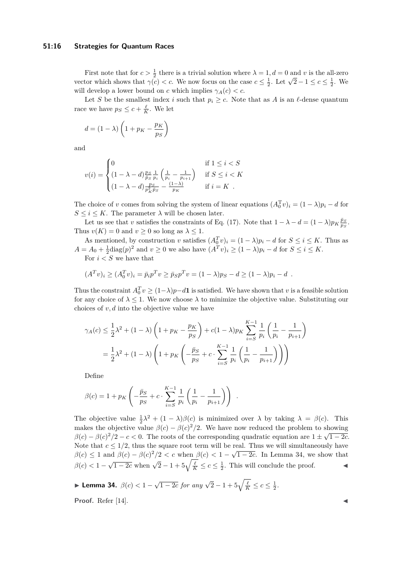### **51:16 Strategies for Quantum Races**

First note that for  $c > \frac{1}{2}$  there is a trivial solution where  $\lambda = 1, d = 0$  and *v* is the all-zero FILSt note that for  $c > \frac{1}{2}$  there is a trivial solution where  $λ = 1$ ,  $u = 0$  and  $v$  is the an-zero vector which shows that  $γ(c) < c$ . We now focus on the case  $c ≤ \frac{1}{2}$ . Let  $√2 - 1 ≤ c ≤ \frac{1}{2}$ . We will develop a lower bound on *c* which implies  $\gamma_A(c) < c$ .

Let *S* be the smallest index *i* such that  $p_i \geq c$ . Note that as *A* is an  $\ell$ -dense quantum race we have  $p_S \leq c + \frac{\ell}{K}$ . We let

$$
d = (1 - \lambda) \left( 1 + p_K - \frac{p_K}{p_S} \right)
$$

and

$$
v(i) = \begin{cases} 0 & \text{if } 1 \le i < S \\ (1 - \lambda - d) \frac{p_S}{\bar{p}_S} \frac{1}{p_i} \left( \frac{1}{p_i} - \frac{1}{p_{i+1}} \right) & \text{if } S \le i < K \\ (1 - \lambda - d) \frac{p_S}{p_K^2 \bar{p}_S} - \frac{(1 - \lambda)}{p_K} & \text{if } i = K \end{cases}
$$

The choice of *v* comes from solving the system of linear equations  $(A_0^T v)_i = (1 - \lambda)p_i - d$  for  $S \leq i \leq K$ . The parameter  $\lambda$  will be chosen later.

Let us see that *v* satisfies the constraints of [Eq. \(17\).](#page-14-1) Note that  $1 - \lambda - d = (1 - \lambda)p_K \frac{\bar{p}_S}{p_S}$ . Thus  $v(K) = 0$  and  $v \ge 0$  so long as  $\lambda \le 1$ .

As mentioned, by construction *v* satisfies  $(A_0^T v)_i = (1 - \lambda)p_i - d$  for  $S \le i \le K$ . Thus as  $A = A_0 + \frac{1}{2} \text{diag}(p)^2$  and  $v \ge 0$  we also have  $(A^T v)_i \ge (1 - \lambda)p_i - d$  for  $S \le i \le K$ .

For  $i < S$  we have that

$$
(A^T v)_i \ge (A_0^T v)_i = \bar{p}_i p^T v \ge \bar{p}_S p^T v = (1 - \lambda) p_S - d \ge (1 - \lambda) p_i - d.
$$

Thus the constraint  $A_0^T v \ge (1 - \lambda)p - d\mathbf{1}$  is satisfied. We have shown that *v* is a feasible solution for any choice of  $\lambda \leq 1$ . We now choose  $\lambda$  to minimize the objective value. Substituting our choices of *v, d* into the objective value we have

$$
\gamma_A(c) \le \frac{1}{2}\lambda^2 + (1-\lambda)\left(1 + p_K - \frac{p_K}{p_S}\right) + c(1-\lambda)p_K \sum_{i=S}^{K-1} \frac{1}{p_i} \left(\frac{1}{p_i} - \frac{1}{p_{i+1}}\right)
$$
  
=  $\frac{1}{2}\lambda^2 + (1-\lambda)\left(1 + p_K\left(-\frac{\bar{p}_S}{p_S} + c \cdot \sum_{i=S}^{K-1} \frac{1}{p_i} \left(\frac{1}{p_i} - \frac{1}{p_{i+1}}\right)\right)\right)$ 

Define

$$
\beta(c) = 1 + p_K \left( -\frac{\bar{p}_S}{p_S} + c \cdot \sum_{i=S}^{K-1} \frac{1}{p_i} \left( \frac{1}{p_i} - \frac{1}{p_{i+1}} \right) \right) .
$$

The objective value  $\frac{1}{2}\lambda^2 + (1 - \lambda)\beta(c)$  is minimized over  $\lambda$  by taking  $\lambda = \beta(c)$ . This makes the objective value  $\beta(c) - \beta(c)^2/2$ . We have now reduced the problem to showing  $\beta(c) - \beta(c)^2/2 - c < 0$ . The roots of the corresponding quadratic equation are  $1 \pm \sqrt{1-2c}$ . Note that  $c \leq 1/2$ , thus the square root term will be real. Thus we will simultaneously have  $\beta(c) \leq 1$  and  $\beta(c) - \beta(c)^2/2 < c$  when  $\beta(c) < 1 - \sqrt{1 - 2c}$ . In Lemma [34,](#page-15-0) we show that  $\beta(c) < 1 - \sqrt{1 - 2c}$  when  $\sqrt{2} - 1 + 5\sqrt{\frac{k}{K}} \le c \le \frac{1}{2}$ . This will conclude the proof.

<span id="page-15-0"></span>► Lemma 34.  $\beta(c) < 1 - \sqrt{1 - 2c}$  for any  $\sqrt{2} - 1 + 5\sqrt{\frac{\ell}{K}} \le c \le \frac{1}{2}$ .

Proof. Refer [\[14\]](#page-20-1).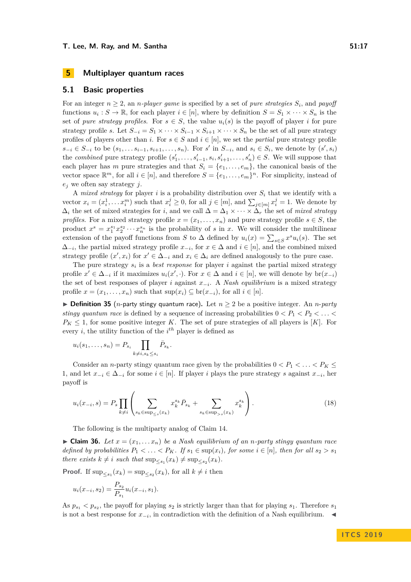### <span id="page-16-0"></span>**5.1 Basic properties**

For an integer  $n \geq 2$ , an *n*-player game is specified by a set of pure strategies  $S_i$ , and payoff functions  $u_i: S \to \mathbb{R}$ , for each player  $i \in [n]$ , where by definition  $S = S_1 \times \cdots \times S_n$  is the set of *pure strategy profiles*. For  $s \in S$ , the value  $u_i(s)$  is the payoff of player *i* for pure strategy profile *s*. Let  $S_{-i} = S_1 \times \cdots \times S_{i-1} \times S_{i+1} \times \cdots \times S_n$  be the set of all pure strategy profiles of players other than *i*. For  $s \in S$  and  $i \in [n]$ , we set the *partial* pure strategy profile  $s_{-i} \in S_{-i}$  to be  $(s_1, \ldots s_{i-1}, s_{i+1}, \ldots, s_n)$ . For s' in  $S_{-i}$ , and  $s_i \in S_i$ , we denote by  $(s', s_i)$ the *combined* pure strategy profile  $(s'_1, \ldots, s'_{i-1}, s_i, s'_{i+1}, \ldots, s'_n) \in S$ . We will suppose that each player has *m* pure strategies and that  $S_i = \{e_1, \ldots, e_m\}$ , the canonical basis of the vector space  $\mathbb{R}^m$ , for all  $i \in [n]$ , and therefore  $S = \{e_1, \ldots, e_m\}^n$ . For simplicity, instead of *e<sup>j</sup>* we often say strategy *j*.

A *mixed strategy* for player *i* is a probability distribution over *S<sup>i</sup>* that we identify with a vector  $x_i = (x_i^1, \ldots x_i^m)$  such that  $x_i^j \geq 0$ , for all  $j \in [m]$ , and  $\sum_{j \in [m]} x_i^j = 1$ . We denote by  $\Delta_i$  the set of mixed strategies for *i*, and we call  $\Delta = \Delta_1 \times \cdots \times \Delta_r$  the set of *mixed strategy profiles*. For a mixed strategy profile  $x = (x_1, \ldots, x_n)$  and pure strategy profile  $s \in S$ , the product  $x^s = x_1^{s_1} x_2^{s_2} \cdots x_n^{s_n}$  is the probability of *s* in *x*. We will consider the multilinear extension of the payoff functions from *S* to  $\Delta$  defined by  $u_i(x) = \sum_{s \in S} x^s u_i(s)$ . The set  $\Delta_{-i}$ , the partial mixed strategy profile  $x_{-i}$ , for  $x \in \Delta$  and  $i \in [n]$ , and the combined mixed strategy profile  $(x', x_i)$  for  $x' \in \Delta_{-i}$  and  $x_i \in \Delta_i$  are defined analogously to the pure case.

The pure strategy  $s_i$  is a *best response* for player  $i$  against the partial mixed strategy profile  $x' \in \Delta_{-i}$  if it maximizes  $u_i(x', \cdot)$ . For  $x \in \Delta$  and  $i \in [n]$ , we will denote by  $br(x_{-i})$ the set of best responses of player *i* against *x*<sup>−</sup>*<sup>i</sup>* . A *Nash equilibrium* is a mixed strategy profile  $x = (x_1, \ldots, x_n)$  such that  $\sup(x_i) \subseteq \text{br}(x_{-i})$ , for all  $i \in [n]$ .

▶ **Definition 35** (*n*-party stingy quantum race). Let  $n \geq 2$  be a positive integer. An *n*-party *stingy quantum race* is defined by a sequence of increasing probabilities  $0 < P_1 < P_2 < \ldots <$  $P_K \leq 1$ , for some positive integer *K*. The set of pure strategies of all players is [*K*]. For every *i*, the utility function of the *i th* player is defined as

$$
u_i(s_1,\ldots,s_n)=P_{s_i}\prod_{k\neq i,s_k\leq s_i}\bar{P}_{s_k}.
$$

Consider an *n*-party stingy quantum race given by the probabilities  $0 < P_1 < \ldots < P_K \le$ 1, and let  $x_{-i} \in \Delta_{-i}$  for some  $i \in [n]$ . If player *i* plays the pure strategy *s* against  $x_{-i}$ , her payoff is

<span id="page-16-1"></span>
$$
u_i(x_{-i}, s) = P_s \prod_{k \neq i} \left( \sum_{s_k \in \text{sup}_{\leq s}(x_k)} x_k^{s_k} \bar{P}_{s_k} + \sum_{s_k \in \text{sup}_{>s}(x_k)} x_k^{s_k} \right).
$$
 (18)

The following is the multiparty analog of [Claim 14.](#page-8-2)

 $\blacktriangleright$  **Claim 36.** *Let*  $x = (x_1, \ldots, x_n)$  *be a Nash equilibrium of an n-party stingy quantum race defined by probabilities*  $P_1 < \ldots < P_K$ *. If*  $s_1 \in \text{sup}(x_i)$ *, for some*  $i \in [n]$ *, then for all*  $s_2 > s_1$ *there exists*  $k \neq i$  *such that*  $\sup_{\leq s_1}(x_k) \neq \sup_{\leq s_2}(x_k)$ *.* 

**Proof.** If  $\sup_{\leq s_1}(x_k) = \sup_{\leq s_2}(x_k)$ , for all  $k \neq i$  then

$$
u_i(x_{-i}, s_2) = \frac{P_{s_2}}{P_{s_1}} u_i(x_{-i}, s_1).
$$

As  $p_{s_1} < p_{s_2}$ , the payoff for playing  $s_2$  is strictly larger than that for playing  $s_1$ . Therefore  $s_1$ is not a best response for  $x_{-i}$ , in contradiction with the definition of a Nash equilibrium.  $\blacktriangleleft$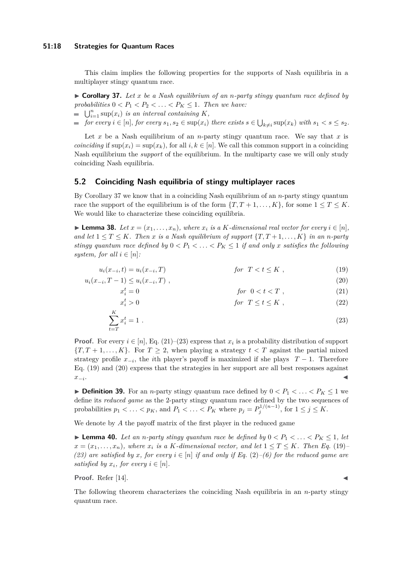### **51:18 Strategies for Quantum Races**

This claim implies the following properties for the supports of Nash equilibria in a multiplayer stingy quantum race.

<span id="page-17-2"></span>I **Corollary 37.** *Let x be a Nash equilibrium of an n-party stingy quantum race defined by probabilities*  $0 < P_1 < P_2 < \ldots < P_K \leq 1$ . Then we have:

- $\bigcup_{i=1}^{n}$  sup $(x_i)$  *is an interval containing K,*
- for every  $i \in [n]$ , for every  $s_1, s_2 \in \sup(x_i)$  there exists  $s \in \bigcup_{k \neq i} \sup(x_k)$  with  $s_1 < s \leq s_2$ .

Let  $x$  be a Nash equilibrium of an *n*-party stingy quantum race. We say that  $x$  is *coinciding* if  $\sup(x_i) = \sup(x_k)$ , for all *i, k* ∈ [*n*]*.* We call this common support in a coinciding Nash equilibrium the *support* of the equilibrium. In the multiparty case we will only study coinciding Nash equilibria.

### **5.2 Coinciding Nash equilibria of stingy multiplayer races**

By Corollary [37](#page-17-2) we know that in a coinciding Nash equilibrium of an *n*-party stingy quantum race the support of the equilibrium is of the form  ${T, T+1, \ldots, K}$ , for some  $1 \le T \le K$ . We would like to characterize these coinciding equilibria.

<span id="page-17-7"></span>► **Lemma 38.** Let  $x = (x_1, \ldots, x_n)$ , where  $x_i$  is a *K*-dimensional real vector for every  $i \in [n]$ , *and let*  $1 \leq T \leq K$ *. Then x is a Nash equilibrium of support*  $\{T, T + 1, \ldots, K\}$  *in an n-party stingy quantum race defined by*  $0 < P_1 < \ldots < P_K \leq 1$  *if and only x satisfies the following system, for all*  $i \in [n]$ *:* 

$$
u_i(x_{-i}, t) = u_i(x_{-i}, T) \t\t for \tT < t \le K , \t\t (19)
$$

$$
u_i(x_{-i}, T - 1) \le u_i(x_{-i}, T) \tag{20}
$$

$$
x_i^t = 0 \qquad \qquad \text{for} \ \ 0 < t < T \ , \tag{21}
$$

$$
x_i^t > 0 \t\t for \tT \le t \le K , \t\t (22)
$$

$$
\sum_{t=T}^{K} x_i^t = 1 \tag{23}
$$

**Proof.** For every  $i \in [n]$ , [Eq. \(21\)–](#page-17-3)[\(23\)](#page-17-4) express that  $x_i$  is a probability distribution of support  ${T, T+1, ..., K}$ . For  $T \geq 2$ , when playing a strategy  $t < T$  against the partial mixed strategy profile  $x_{-i}$ , the *i*th player's payoff is maximized if she plays  $T-1$ . Therefore [Eq. \(19\)](#page-17-5) and [\(20\)](#page-17-6) express that the strategies in her support are all best responses against *x*<sup>−</sup>*<sup>i</sup>* . January 2006, January 2006, January 2006, January 2006, January 2006, January 2006, January 2006, January 20<br>January 2007, January 2007, January 2007, January 2008, January 2008, January 2008, January 2008, January 2008

▶ **Definition 39.** For an *n*-party stingy quantum race defined by  $0 < P_1 < \ldots < P_K \le 1$  we define its *reduced game* as the 2-party stingy quantum race defined by the two sequences of probabilities  $p_1 < \ldots < p_K$ , and  $P_1 < \ldots < P_K$  where  $p_j = P_j^{1/(n-1)}$ , for  $1 \le j \le K$ .

<span id="page-17-1"></span>We denote by *A* the payoff matrix of the first player in the reduced game

▶ **Lemma 40.** *Let an n-party stingy quantum race be defined by*  $0 < P_1 < \ldots < P_K \leq 1$ , *let*  $x = (x_1, \ldots, x_n)$ *, where*  $x_i$  *is a K-dimensional vector, and let*  $1 \le T \le K$ *. Then Eq.* [\(19\)](#page-17-5)*– [\(23\)](#page-17-4)* are satisfied by *x*, for every  $i \in [n]$  *if and only if* [Eq.](#page-9-4) (2)–*[\(6\)](#page-9-1)* for the reduced game are *satisfied by*  $x_i$ *, for every*  $i \in [n]$ *.* 

**Proof.** Refer [\[14\]](#page-20-1).

<span id="page-17-6"></span><span id="page-17-5"></span><span id="page-17-4"></span><span id="page-17-3"></span>

<span id="page-17-0"></span>The following theorem characterizes the coinciding Nash equilibria in an *n*-party stingy quantum race.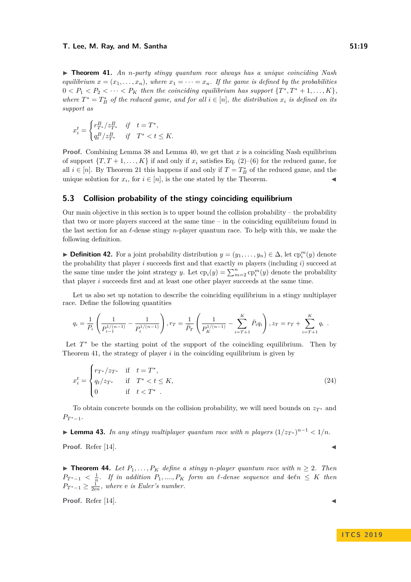I **Theorem 41.** *An n-party stingy quantum race always has a unique coinciding Nash equilibrium*  $x = (x_1, \ldots, x_n)$ *, where*  $x_1 = \cdots = x_n$ *. If the game is defined by the probabilities*  $0 < P_1 < P_2 < \cdots < P_K$  then the coinciding equilibrium has support  $\{T^*, T^* + 1, \ldots, K\}$ , *where*  $T^* = T^*_{B}$  *of the reduced game, and for all*  $i \in [n]$ *, the distribution*  $x_i$  *is defined on its support as*

$$
x_i^t = \begin{cases} r_{T^*}^B/z_{T^*}^B & \text{if } t = T^*, \\ q_t^B/z_{T^*}^B & \text{if } T^* < t \le K. \end{cases}
$$

**Proof.** Combining Lemma [38](#page-17-7) and Lemma [40,](#page-17-1) we get that x is a coinciding Nash equilibrium of support  $\{T, T+1, \ldots, K\}$  if and only if  $x_i$  satisfies [Eq. \(2\)–](#page-9-4)[\(6\)](#page-9-1) for the reduced game, for all  $i \in [n]$ . By [Theorem 21](#page-10-0) this happens if and only if  $T = T_B^*$  of the reduced game, and the unique solution for  $x_i$ , for  $i \in [n]$ , is the one stated by the Theorem.

### **5.3 Collision probability of the stingy coinciding equilibrium**

Our main objective in this section is to upper bound the collision probability – the probability that two or more players succeed at the same time – in the coinciding equilibrium found in the last section for an  $\ell$ -dense stingy *n*-player quantum race. To help with this, we make the following definition.

► **Definition 42.** For a joint probability distribution  $y = (y_1, \ldots, y_n) \in \Delta$ , let  $\text{cp}_i^m(y)$  denote the probability that player *i* succeeds first and that exactly *m* players (including *i*) succeed at the same time under the joint strategy *y*. Let  $\text{cp}_i(y) = \sum_{m=2}^n \text{cp}_i^m(y)$  denote the probability that player *i* succeeds first and at least one other player succeeds at the same time.

Let us also set up notation to describe the coinciding equilibrium in a stingy multiplayer race. Define the following quantities

$$
q_i = \frac{1}{P_i} \left( \frac{1}{P_{i-1}^{1/(n-1)}} - \frac{1}{P_i^{1/(n-1)}} \right), r_T = \frac{1}{\bar{P}_T} \left( \frac{1}{P_K^{1/(n-1)}} - \sum_{i=T+1}^K \bar{P}_i q_i \right), z_T = r_T + \sum_{i=T+1}^K q_i.
$$

Let  $T^*$  be the starting point of the support of the coinciding equilibrium. Then by [Theorem 41,](#page-17-0) the strategy of player *i* in the coinciding equilibrium is given by

<span id="page-18-1"></span>
$$
x_i^t = \begin{cases} r_{T^*}/z_{T^*} & \text{if } t = T^*, \\ q_t/z_{T^*} & \text{if } T^* < t \le K, \\ 0 & \text{if } t < T^* . \end{cases}
$$
 (24)

To obtain concrete bounds on the collision probability, we will need bounds on  $z_{T^*}$  and  $P_{T^*-1}$ .

▶ **Lemma 43.** *In any stingy multiplayer quantum race with <i>n players*  $(1/z_T*)^{n-1} < 1/n$ *.* 

**Proof.** Refer [\[14\]](#page-20-1).

<span id="page-18-0"></span>▶ **Theorem 44.** Let  $P_1, \ldots, P_K$  define a stingy *n*-player quantum race with  $n ≥ 2$ . Then  $P_{T^*-1} < \frac{1}{n}$ . If in addition  $P_1, \ldots, P_K$  form an  $\ell$ -dense sequence and  $4\epsilon\ell n \leq K$  then  $P_{T^*-1} \geq \frac{1}{2en}$ , where *e is Euler's number.* 

**Proof.** Refer [\[14\]](#page-20-1).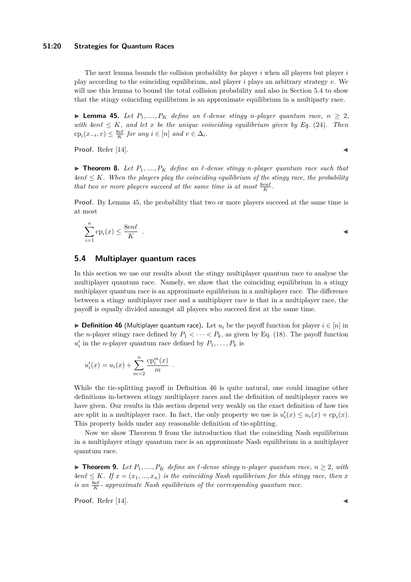### **51:20 Strategies for Quantum Races**

The next lemma bounds the collision probability for player *i* when all players but player *i* play according to the coinciding equilibrium, and player *i* plays an arbitrary strategy *v*. We will use this lemma to bound the total collision probability and also in [Section 5.4](#page-19-0) to show that the stingy coinciding equilibrium is an approximate equilibrium in a multiparty race.

<span id="page-19-1"></span>▶ **Lemma 45.** *Let*  $P_1, \ldots, P_K$  *define an ℓ-dense stingy n-player quantum race,*  $n ≥ 2$ , *with*  $4en\ell \leq K$ , and let *x* be the unique coinciding equilibrium given by Eq. [\(24\)](#page-18-1). Then  $\text{cp}_i(x_{-i}, v) \leq \frac{8e\ell}{K}$  *for any*  $i \in [n]$  *and*  $v \in \Delta_i$ *.* 

**Proof.** Refer [\[14\]](#page-20-1).

**If Theorem 8.** Let  $P_1, \ldots, P_K$  define an  $\ell$ -dense stingy *n*-player quantum race such that  $4en\ell \leq K$ . When the players play the coinciding equilibrium of the stingy race, the probability *that two or more players succeed at the same time is at most*  $\frac{8en\ell}{K}$ *.* 

**Proof.** By Lemma [45,](#page-19-1) the probability that two or more players succeed at the same time is at most

$$
\sum_{i=1}^{n} \text{cp}_i(x) \le \frac{8en\ell}{K} .
$$

# <span id="page-19-0"></span>**5.4 Multiplayer quantum races**

In this section we use our results about the stingy multiplayer quantum race to analyse the multiplayer quantum race. Namely, we show that the coinciding equilibrium in a stingy multiplayer quantum race is an approximate equilibrium in a multiplayer race. The difference between a stingy multiplayer race and a multiplayer race is that in a multiplayer race, the payoff is equally divided amongst all players who succeed first at the same time.

<span id="page-19-2"></span>**► Definition 46** (Multiplayer quantum race). Let  $u_i$  be the payoff function for player  $i \in [n]$  in the *n*-player stingy race defined by  $P_1 < \cdots < P_k$ , as given by [Eq. \(18\).](#page-16-1) The payoff function  $u'_i$  in the *n*-player quantum race defined by  $P_1, \ldots, P_k$  is

$$
u'_{i}(x) = u_{i}(x) + \sum_{m=2}^{n} \frac{\mathbf{c} p_{i}^{m}(x)}{m} .
$$

While the tie-splitting payoff in Definition [46](#page-19-2) is quite natural, one could imagine other definitions in-between stingy multiplayer races and the definition of multiplayer races we have given. Our results in this section depend very weakly on the exact definition of how ties are split in a multiplayer race. In fact, the only property we use is  $u_i'(x) \le u_i(x) + \text{cp}_i(x)$ . This property holds under any reasonable definition of tie-splitting.

Now we show [Theorem 9](#page-4-1) from the introduction that the coinciding Nash equilibrium in a multiplayer stingy quantum race is an approximate Nash equilibrium in a multiplayer quantum race.

▶ **Theorem 9.** *Let*  $P_1$ , ...,  $P_K$  *define an ℓ*-dense stingy *n*-player quantum race,  $n ≥ 2$ , with  $4en\ell \leq K$ *. If*  $x = (x_1, ..., x_n)$  *is the coinciding Nash equilibrium for this stingy race, then x is an*  $\frac{8e\ell}{K}$  *- approximate Nash equilibrium of the corresponding quantum race.* 

**Proof.** Refer [\[14\]](#page-20-1).